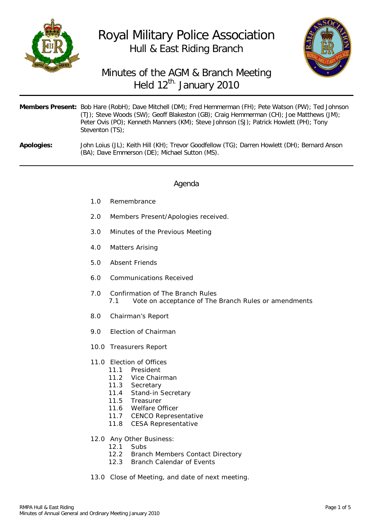

# Royal Military Police Association Hull & East Riding Branch



## Minutes of the AGM & Branch Meeting Held 12<sup>th.</sup> January 2010

|                   | Members Present: Bob Hare (RobH); Dave Mitchell (DM); Fred Hemmerman (FH); Pete Watson (PW); Ted Johnson<br>(TJ); Steve Woods (SW); Geoff Blakeston (GB); Craig Hemmerman (CH); Joe Matthews (JM);<br>Peter Ovis (PO); Kenneth Manners (KM); Steve Johnson (SJ); Patrick Howlett (PH); Tony<br>Steventon (TS): |
|-------------------|----------------------------------------------------------------------------------------------------------------------------------------------------------------------------------------------------------------------------------------------------------------------------------------------------------------|
| <b>Apologies:</b> | John Loius (JL); Keith Hill (KH); Trevor Goodfellow (TG); Darren Howlett (DH); Bernard Anson<br>(BA); Dave Emmerson (DE); Michael Sutton (MS).                                                                                                                                                                 |

#### Agenda

- 1.0 Remembrance
- 2.0 Members Present/Apologies received.
- 3.0 Minutes of the Previous Meeting
- 4.0 Matters Arising
- 5.0 Absent Friends
- 6.0 Communications Received
- 7.0 Confirmation of The Branch Rules 7.1 Vote on acceptance of The Branch Rules or amendments
- 8.0 Chairman's Report
- 9.0 Election of Chairman
- 10.0 Treasurers Report
- 11.0 Election of Offices
	- 11.1 President
	- 11.2 Vice Chairman
	- 11.3 Secretary
	- 11.4 Stand-in Secretary
	- 11.5 Treasurer
	- 11.6 Welfare Officer
	- 11.7 CENCO Representative
	- 11.8 CESA Representative
- 12.0 Any Other Business:
	- 12.1 Subs
	- 12.2 Branch Members Contact Directory
	- 12.3 Branch Calendar of Events
- 13.0 Close of Meeting, and date of next meeting.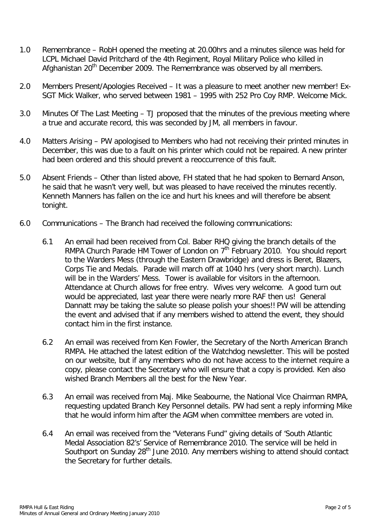- 1.0 Remembrance RobH opened the meeting at 20.00hrs and a minutes silence was held for LCPL Michael David Pritchard of the 4th Regiment, Royal Military Police who killed in Afghanistan 20<sup>th</sup> December 2009. The Remembrance was observed by all members.
- 2.0 Members Present/Apologies Received It was a pleasure to meet another new member! Ex-SGT Mick Walker, who served between 1981 – 1995 with 252 Pro Coy RMP. Welcome Mick.
- 3.0 Minutes Of The Last Meeting TJ proposed that the minutes of the previous meeting where a true and accurate record, this was seconded by JM, all members in favour.
- 4.0 Matters Arising PW apologised to Members who had not receiving their printed minutes in December, this was due to a fault on his printer which could not be repaired. A new printer had been ordered and this should prevent a reoccurrence of this fault.
- 5.0 Absent Friends Other than listed above, FH stated that he had spoken to Bernard Anson, he said that he wasn't very well, but was pleased to have received the minutes recently. Kenneth Manners has fallen on the ice and hurt his knees and will therefore be absent tonight.
- 6.0 Communications The Branch had received the following communications:
	- 6.1 An email had been received from Col. Baber RHQ giving the branch details of the RMPA Church Parade HM Tower of London on  $7<sup>th</sup>$  February 2010. You should report to the Warders Mess (through the Eastern Drawbridge) and dress is Beret, Blazers, Corps Tie and Medals. Parade will march off at 1040 hrs (very short march). Lunch will be in the Warders' Mess. Tower is available for visitors in the afternoon. Attendance at Church allows for free entry. Wives very welcome. A good turn out would be appreciated, last year there were nearly more RAF then us! General Dannatt may be taking the salute so please polish your shoes!! PW will be attending the event and advised that if any members wished to attend the event, they should contact him in the first instance.
	- 6.2 An email was received from Ken Fowler, the Secretary of the North American Branch RMPA. He attached the latest edition of the Watchdog newsletter. This will be posted on our website, but if any members who do not have access to the internet require a copy, please contact the Secretary who will ensure that a copy is provided. Ken also wished Branch Members all the best for the New Year.
	- 6.3 An email was received from Maj. Mike Seabourne, the National Vice Chairman RMPA, requesting updated Branch Key Personnel details. PW had sent a reply informing Mike that he would inform him after the AGM when committee members are voted in.
	- 6.4 An email was received from the "Veterans Fund" giving details of 'South Atlantic Medal Association 82's' Service of Remembrance 2010. The service will be held in Southport on Sunday  $28<sup>th</sup>$  June 2010. Any members wishing to attend should contact the Secretary for further details.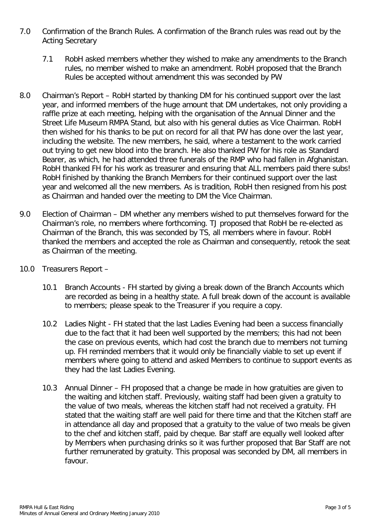- 7.0 Confirmation of the Branch Rules. A confirmation of the Branch rules was read out by the Acting Secretary
	- 7.1 RobH asked members whether they wished to make any amendments to the Branch rules, no member wished to make an amendment. RobH proposed that the Branch Rules be accepted without amendment this was seconded by PW
- 8.0 Chairman's Report RobH started by thanking DM for his continued support over the last year, and informed members of the huge amount that DM undertakes, not only providing a raffle prize at each meeting, helping with the organisation of the Annual Dinner and the Street Life Museum RMPA Stand, but also with his general duties as Vice Chairman. RobH then wished for his thanks to be put on record for all that PW has done over the last year, including the website. The new members, he said, where a testament to the work carried out trying to get new blood into the branch. He also thanked PW for his role as Standard Bearer, as which, he had attended three funerals of the RMP who had fallen in Afghanistan. RobH thanked FH for his work as treasurer and ensuring that ALL members paid there subs! RobH finished by thanking the Branch Members for their continued support over the last year and welcomed all the new members. As is tradition, RobH then resigned from his post as Chairman and handed over the meeting to DM the Vice Chairman.
- 9.0 Election of Chairman DM whether any members wished to put themselves forward for the Chairman's role, no members where forthcoming. TJ proposed that RobH be re-elected as Chairman of the Branch, this was seconded by TS, all members where in favour. RobH thanked the members and accepted the role as Chairman and consequently, retook the seat as Chairman of the meeting.
- 10.0 Treasurers Report
	- 10.1 Branch Accounts FH started by giving a break down of the Branch Accounts which are recorded as being in a healthy state. A full break down of the account is available to members; please speak to the Treasurer if you require a copy.
	- 10.2 Ladies Night FH stated that the last Ladies Evening had been a success financially due to the fact that it had been well supported by the members; this had not been the case on previous events, which had cost the branch due to members not turning up. FH reminded members that it would only be financially viable to set up event if members where going to attend and asked Members to continue to support events as they had the last Ladies Evening.
	- 10.3 Annual Dinner FH proposed that a change be made in how gratuities are given to the waiting and kitchen staff. Previously, waiting staff had been given a gratuity to the value of two meals, whereas the kitchen staff had not received a gratuity. FH stated that the waiting staff are well paid for there time and that the Kitchen staff are in attendance all day and proposed that a gratuity to the value of two meals be given to the chef and kitchen staff, paid by cheque. Bar staff are equally well looked after by Members when purchasing drinks so it was further proposed that Bar Staff are not further remunerated by gratuity. This proposal was seconded by DM, all members in favour.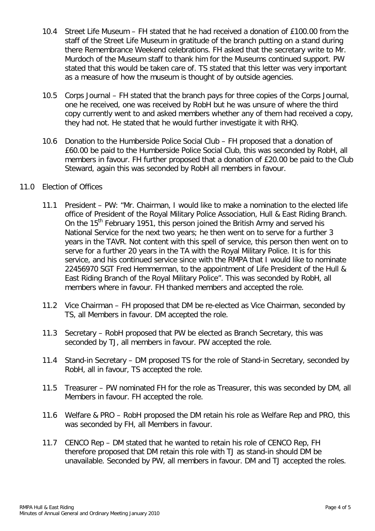- 10.4 Street Life Museum FH stated that he had received a donation of £100.00 from the staff of the Street Life Museum in gratitude of the branch putting on a stand during there Remembrance Weekend celebrations. FH asked that the secretary write to Mr. Murdoch of the Museum staff to thank him for the Museums continued support. PW stated that this would be taken care of. TS stated that this letter was very important as a measure of how the museum is thought of by outside agencies.
- 10.5 Corps Journal FH stated that the branch pays for three copies of the Corps Journal, one he received, one was received by RobH but he was unsure of where the third copy currently went to and asked members whether any of them had received a copy, they had not. He stated that he would further investigate it with RHQ.
- 10.6 Donation to the Humberside Police Social Club FH proposed that a donation of £60.00 be paid to the Humberside Police Social Club, this was seconded by RobH, all members in favour. FH further proposed that a donation of £20.00 be paid to the Club Steward, again this was seconded by RobH all members in favour.

#### 11.0 Election of Offices

- 11.1 President PW: "Mr. Chairman, I would like to make a nomination to the elected life office of President of the Royal Military Police Association, Hull & East Riding Branch. On the 15<sup>th</sup> February 1951, this person joined the British Army and served his National Service for the next two years; he then went on to serve for a further 3 years in the TAVR. Not content with this spell of service, this person then went on to serve for a further 20 years in the TA with the Royal Military Police. It is for this service, and his continued service since with the RMPA that I would like to nominate 22456970 SGT Fred Hemmerman, to the appointment of Life President of the Hull & East Riding Branch of the Royal Military Police". This was seconded by RobH, all members where in favour. FH thanked members and accepted the role.
- 11.2 Vice Chairman FH proposed that DM be re-elected as Vice Chairman, seconded by TS, all Members in favour. DM accepted the role.
- 11.3 Secretary RobH proposed that PW be elected as Branch Secretary, this was seconded by TJ, all members in favour. PW accepted the role.
- 11.4 Stand-in Secretary DM proposed TS for the role of Stand-in Secretary, seconded by RobH, all in favour, TS accepted the role.
- 11.5 Treasurer PW nominated FH for the role as Treasurer, this was seconded by DM, all Members in favour. FH accepted the role.
- 11.6 Welfare & PRO RobH proposed the DM retain his role as Welfare Rep and PRO, this was seconded by FH, all Members in favour.
- 11.7 CENCO Rep DM stated that he wanted to retain his role of CENCO Rep, FH therefore proposed that DM retain this role with TJ as stand-in should DM be unavailable. Seconded by PW, all members in favour. DM and TJ accepted the roles.